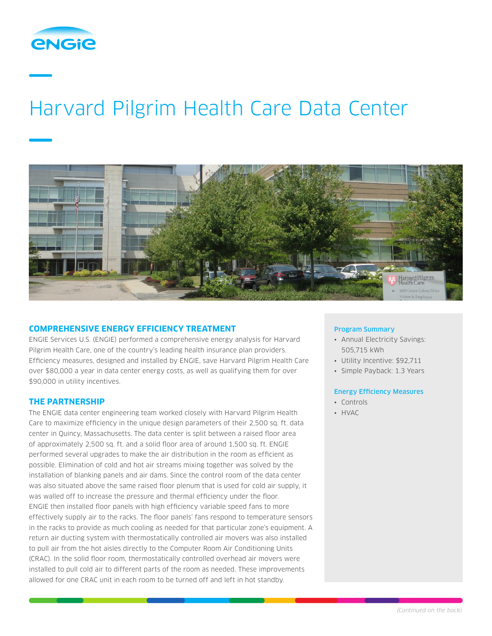

# Harvard Pilgrim Health Care Data Center



### **COMPREHENSIVE ENERGY EFFICIENCY TREATMENT**

ENGIE Services U.S. (ENGIE) performed a comprehensive energy analysis for Harvard Pilgrim Health Care, one of the country's leading health insurance plan providers. Efficiency measures, designed and installed by ENGIE, save Harvard Pilgrim Health Care over \$80,000 a year in data center energy costs, as well as qualifying them for over \$90,000 in utility incentives.

#### **THE PARTNERSHIP**

The ENGIE data center engineering team worked closely with Harvard Pilgrim Health Care to maximize efficiency in the unique design parameters of their 2,500 sq. ft. data center in Quincy, Massachusetts. The data center is split between a raised floor area of approximately 2,500 sq. ft. and a solid floor area of around 1,500 sq. ft. ENGIE performed several upgrades to make the air distribution in the room as efficient as possible. Elimination of cold and hot air streams mixing together was solved by the installation of blanking panels and air dams. Since the control room of the data center was also situated above the same raised floor plenum that is used for cold air supply, it was walled off to increase the pressure and thermal efficiency under the floor. ENGIE then installed floor panels with high efficiency variable speed fans to more effectively supply air to the racks. The floor panels' fans respond to temperature sensors in the racks to provide as much cooling as needed for that particular zone's equipment. A return air ducting system with thermostatically controlled air movers was also installed to pull air from the hot aisles directly to the Computer Room Air Conditioning Units (CRAC). In the solid floor room, thermostatically controlled overhead air movers were installed to pull cold air to different parts of the room as needed. These improvements allowed for one CRAC unit in each room to be turned off and left in hot standby.

#### Program Summary

- Annual Electricity Savings: 505,715 kWh
- Utility Incentive: \$92,711
- Simple Payback: 1.3 Years

#### Energy Efficiency Measures

- Controls
- HVAC